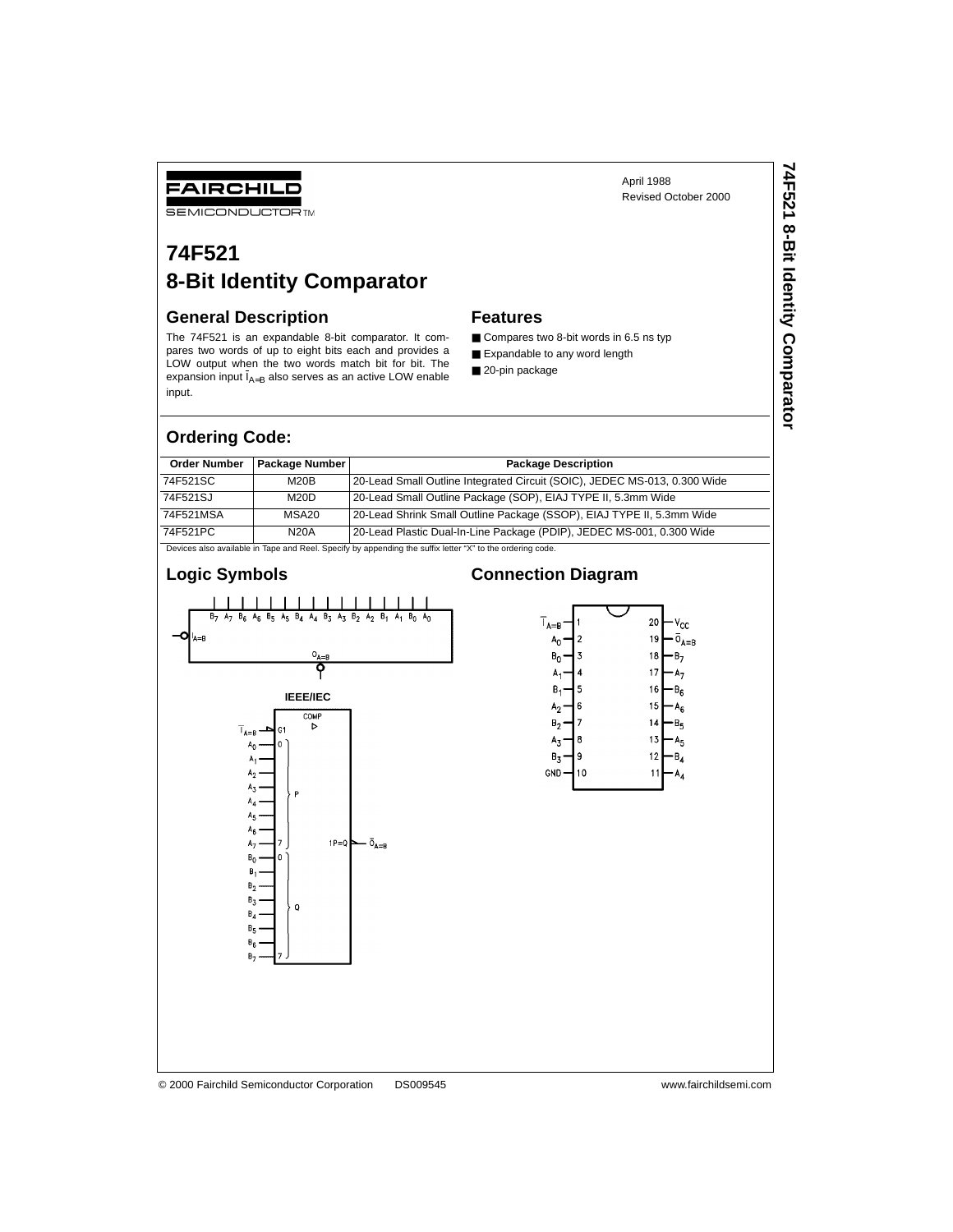## FAIRCHILD

**SEMICONDUCTOR TM** 

# **74F521 8-Bit Identity Comparator**

### **General Description**

The 74F521 is an expandable 8-bit comparator. It compares two words of up to eight bits each and provides a LOW output when the two words match bit for bit. The expansion input  $I_{A=B}$  also serves as an active LOW enable input.

### **Features**

- Compares two 8-bit words in 6.5 ns typ
- Expandable to any word length
- 20-pin package

### **Ordering Code:**

| <b>Order Number</b>                                                                                       | Package Number    | <b>Package Description</b>                                                |  |  |  |
|-----------------------------------------------------------------------------------------------------------|-------------------|---------------------------------------------------------------------------|--|--|--|
| 74F521SC                                                                                                  | M20B              | 20-Lead Small Outline Integrated Circuit (SOIC), JEDEC MS-013, 0.300 Wide |  |  |  |
| 74F521SJ                                                                                                  | M20D              | 20-Lead Small Outline Package (SOP), EIAJ TYPE II, 5.3mm Wide             |  |  |  |
| 74F521MSA                                                                                                 | MSA <sub>20</sub> | 20-Lead Shrink Small Outline Package (SSOP), EIAJ TYPE II, 5.3mm Wide     |  |  |  |
| 74F521PC                                                                                                  | <b>N20A</b>       | 20-Lead Plastic Dual-In-Line Package (PDIP), JEDEC MS-001, 0.300 Wide     |  |  |  |
| Devices also available in Tape and Reel. Specify by appending the suffix letter "X" to the ordering code. |                   |                                                                           |  |  |  |

### **Logic Symbols**

### $B_6$   $A_6$   $B_5$  $A_5$   $B_4$   $A_4$   $B_3$  $A_1$  $B<sub>7</sub>$  $A<sub>7</sub>$  $A_3$  $B_{2}$  $A<sub>2</sub>$  $B_1$  $B_0$   $A_0$  $A = B$  $O_{A=B}$ የ **IEEE/IEC** COMP  $\triangleright$  $T_{A=B}$ A, A,  $\overline{0}_{A=B}$  $1P=Q$  $B_{0}$  $B_1$  $B_{2}$  $B_3$  $\mathbf Q$  $\mathsf{B}_4$  $B_5$  $B_6$  $B<sub>7</sub>$

### **Connection Diagram**



### © 2000 Fairchild Semiconductor Corporation DS009545 www.fairchildsemi.com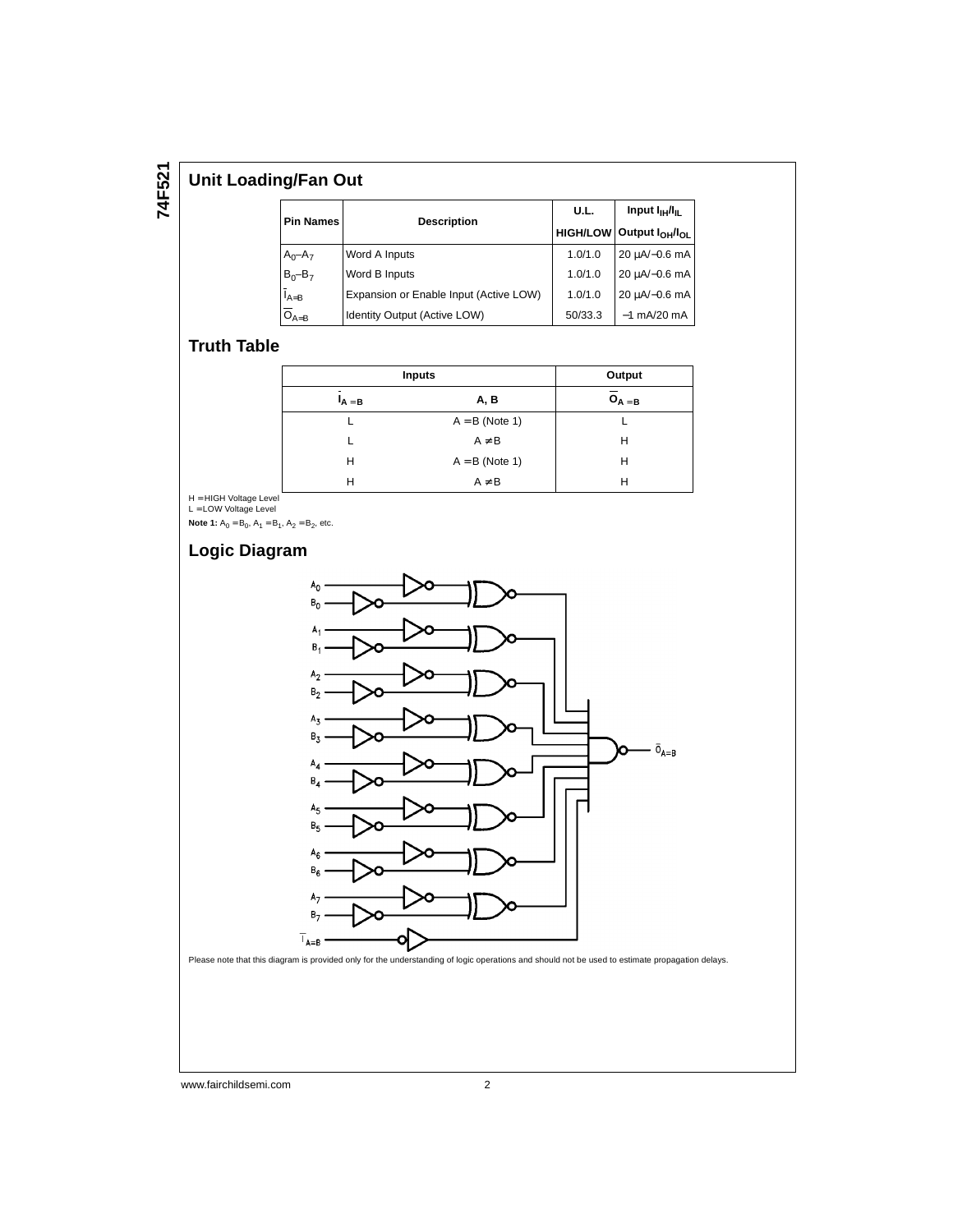# **74F521**

### **Unit Loading/Fan Out**

| <b>Pin Names</b>     | <b>Description</b>                     | U.L.    | Input $I_{\text{H}}/I_{\text{H}}$<br>HIGH/LOW Output $I_{OH}/I_{OL}$ |  |
|----------------------|----------------------------------------|---------|----------------------------------------------------------------------|--|
| $A_0 - A_7$          | Word A Inputs                          | 1.0/1.0 | $20 \mu A/-0.6 \text{ mA}$                                           |  |
| $B_0 - B_7$          | Word B Inputs                          | 1.0/1.0 | 20 µA/-0.6 mA                                                        |  |
| $\overline{I}_{A=B}$ | Expansion or Enable Input (Active LOW) | 1.0/1.0 | 20 µA/-0.6 mA                                                        |  |
| $\overline{O}_{A=B}$ | Identity Output (Active LOW)           | 50/33.3 | $-1$ mA/20 mA                                                        |  |

### **Truth Table**

| <b>Inputs</b> | Output           |             |  |  |
|---------------|------------------|-------------|--|--|
| $A = B$       | A, B             | $O_{A = B}$ |  |  |
|               | $A = B$ (Note 1) |             |  |  |
|               | $A \neq B$       | н           |  |  |
| н             | $A = B$ (Note 1) | н           |  |  |
| н             | $A \neq B$       |             |  |  |

H = HIGH Voltage Level<br>L = LOW Voltage Level

**Note 1:**  $A_0 = B_0$ ,  $A_1 = B_1$ ,  $A_2 = B_2$ , etc.

### **Logic Diagram**



www.fairchildsemi.com 2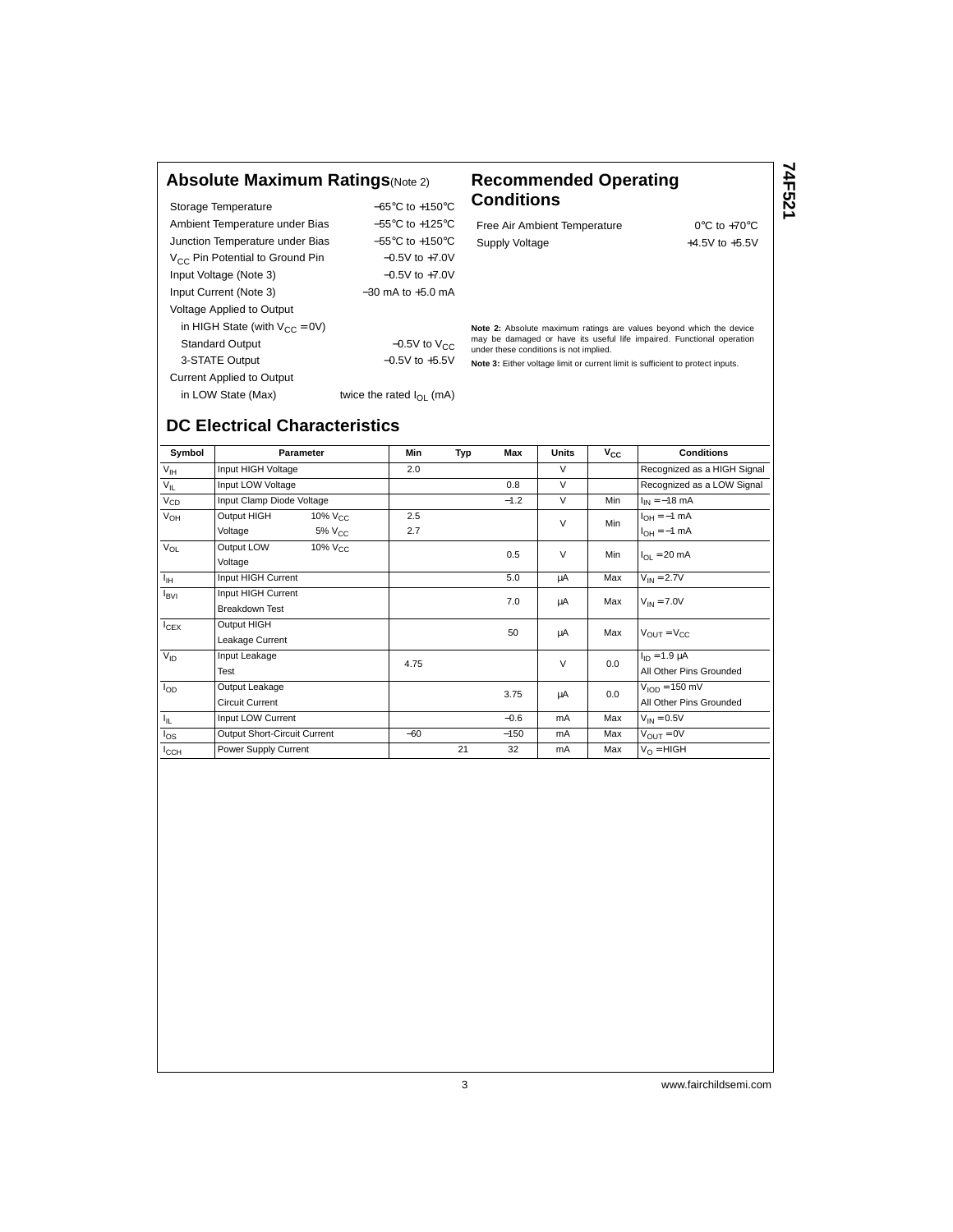### **Absolute Maximum Ratings**(Note 2) **Recommended Operating**

Storage Temperature −65°C to +150°C Ambient Temperature under Bias  $-55^{\circ}$ C to +125°C Junction Temperature under Bias −55°C to +150°C V<sub>CC</sub> Pin Potential to Ground Pin −0.5V to +7.0V Input Voltage (Note 3) −0.5V to +7.0V Input Current (Note 3) −30 mA to +5.0 mA Voltage Applied to Output in HIGH State (with  $V_{CC} = 0V$ ) Standard Output  $-0.5V$  to  $V_{CC}$ 3-STATE Output −0.5V to +5.5V Current Applied to Output in LOW State (Max) twice the rated  $I_{OL}$  (mA)

# **Conditions**

Free Air Ambient Temperature 0°C to +70°C Supply Voltage  $+4.5V$  to  $+5.5V$ 

**74F521**

**Note 2:** Absolute maximum ratings are values beyond which the device may be damaged or have its useful life impaired. Functional operation under these conditions is not implied.

**Note 3:** Either voltage limit or current limit is sufficient to protect inputs.

## **DC Electrical Characteristics**

Symbol **Parameter Min Typ Max Units V<sub>CC</sub> Conditions** V<sub>IH</sub> Input HIGH Voltage 2.0 2.0 V Recognized as a HIGH Signal  $V_{II}$  Input LOW Voltage  $0.8$  V Recognized as a LOW Signal  $V_{\text{CD}}$  Input Clamp Diode Voltage  $V_{\text{OH}}$  −1.2 V Min  $I_{\text{IN}}$  = −18 mA<br>  $V_{\text{OH}}$  Output HIGH 10% V<sub>CC</sub> 2.5 (a)  $V_{\text{OH}}$  = −1 mA  $V_{\text{OH}}$  Output HIGH 10% V<sub>CC</sub> 2.5 V Min I<sub>OH</sub> = −1 mA Voltage 5% V<sub>CC</sub> 2.7 V Min  $V_H = -1$  mA<br>
Voltage 5% V<sub>CC</sub> 2.7 V Min  $V_{\text{OH}} = -1$  mA  $V_{\text{OL}}$  Output LOW 10%  $V_{\text{CC}}$  (Vertage 10% VCC 0.5 V Min  $I_{\text{OL}} = 20 \text{ mA}$ IIH Input HIGH Current 5.0 µA Max VIN = 2.7V  $I_{\text{BVI}}$  Input HIGH Current 1000 and 1000 and 1000 and 1000 and 1000 and 1000 and 1000 and 1000 and 1000 and 1000 and 1000 and 1000 and 1000 and 1000 and 1000 and 1000 and 1000 and 1000 and 1000 and 1000 and 1000 and 10  $\begin{array}{ccc} I_{\text{CEX}} & \begin{array}{c} \text{Output HIGH} \end{array} \end{array}$ <br>
Leakage Current  $\begin{array}{ccc} I_{\text{CEX}} & \begin{array}{c} \text{1} & \text{1} & \text{1} & \text{1} & \text{1} & \text{1} & \text{1} & \text{1} & \text{1} & \text{1} & \text{1} & \text{1} & \text{1} & \text{1} & \text{1} & \text{1} & \text{1} & \text{1} & \text{1} & \text{1} & \text{1} & \text{1} & \text{1}$  $V_{\text{ID}}$  | Input Leakage  $4.75$   $V_{\text{ID}}$  |  $0.0$   $\left[\begin{array}{cc} I_{\text{ID}}=1.9 \ \mu\text{A} \end{array}\right]$ Test All Other Pins Grounded All Other Pins Grounded All Other Pins Grounded All Other Pins Grounded  $I_{OD}$  Output Leakage  $3.75$   $\mu$   $0.0$   $\mu$ Output Leakage<br>Circuit Current **Current All Other Pins Grounded**<br>Circuit Current All Other Pins Grounded  $I_{\parallel}$  Input LOW Current  $-0.6$  mA Max  $V_{\parallel N} = 0.5V$  $\frac{1}{\text{O}}$ I<sub>OS</sub> Output Short-Circuit Current −60 −150 mA Max  $\frac{1}{\text{O}}$  V<sub>OUT</sub> = 0V<br>  $\frac{1}{\text{O}}$  Power Supply Current 21 32 mA Max  $\frac{1}{\text{O}}$  HIGH I<sub>CCH</sub> Power Supply Current 11 21 32 mA Max

3 www.fairchildsemi.com